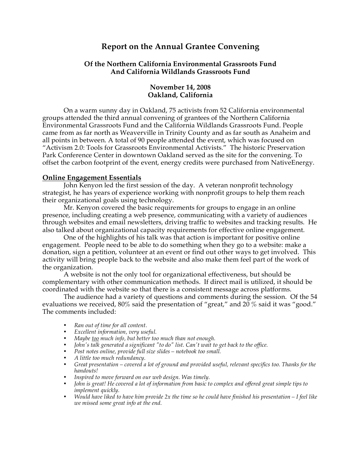# **Report on the Annual Grantee Convening**

### **Of the Northern California Environmental Grassroots Fund And California Wildlands Grassroots Fund**

#### **November 14, 2008 Oakland, California**

On a warm sunny day in Oakland, 75 activists from 52 California environmental groups attended the third annual convening of grantees of the Northern California Environmental Grassroots Fund and the California Wildlands Grassroots Fund. People came from as far north as Weaverville in Trinity County and as far south as Anaheim and all points in between. A total of 90 people attended the event, which was focused on "Activism 2.0: Tools for Grassroots Environmental Activists." The historic Preservation Park Conference Center in downtown Oakland served as the site for the convening. To offset the carbon footprint of the event, energy credits were purchased from NativeEnergy.

#### **Online Engagement Essentials**

John Kenyon led the first session of the day. A veteran nonprofit technology strategist, he has years of experience working with nonprofit groups to help them reach their organizational goals using technology.

Mr. Kenyon covered the basic requirements for groups to engage in an online presence, including creating a web presence, communicating with a variety of audiences through websites and email newsletters, driving traffic to websites and tracking results. He also talked about organizational capacity requirements for effective online engagement.

One of the highlights of his talk was that action is important for positive online engagement. People need to be able to do something when they go to a website: make a donation, sign a petition, volunteer at an event or find out other ways to get involved. This activity will bring people back to the website and also make them feel part of the work of the organization.

A website is not the only tool for organizational effectiveness, but should be complementary with other communication methods. If direct mail is utilized, it should be coordinated with the website so that there is a consistent message across platforms.

The audience had a variety of questions and comments during the session. Of the 54 evaluations we received, 80% said the presentation of "great," and 20 % said it was "good." The comments included:

- *Ran out of time for all content.*
- *Excellent information, very useful.*
- *Maybe too much info, but better too much than not enough.*
- *John's talk generated a significant "to do" list. Can't wait to get back to the office.*
- *Post notes online, provide full size slides notebook too small.*
- *A little too much redundancy.*
- *Great presentation covered a lot of ground and provided useful, relevant specifics too. Thanks for the handouts!*
- *Inspired to move forward on our web design. Was timely.*
- *John is great! He covered a lot of information from basic to complex and offered great simple tips to implement quickly.*
- *Would have liked to have him provide 2x the time so he could have finished his presentation I feel like we missed some great info at the end.*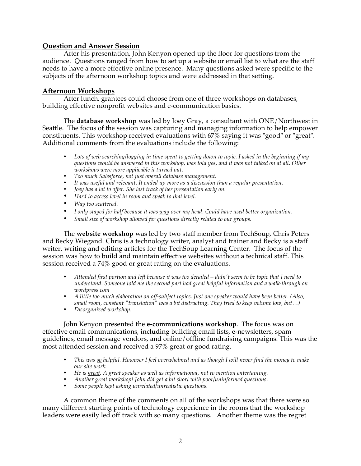### **Question and Answer Session**

After his presentation, John Kenyon opened up the floor for questions from the audience. Questions ranged from how to set up a website or email list to what are the staff needs to have a more effective online presence. Many questions asked were specific to the subjects of the afternoon workshop topics and were addressed in that setting.

### **Afternoon Workshops**

After lunch, grantees could choose from one of three workshops on databases, building effective nonprofit websites and e-communication basics.

The **database workshop** was led by Joey Gray, a consultant with ONE/Northwest in Seattle. The focus of the session was capturing and managing information to help empower constituents. This workshop received evaluations with  $67\%$  saying it was "good" or "great". Additional comments from the evaluations include the following:

- *Lots of web searching/logging in time spent to getting down to topic. I asked in the beginning if my questions would be answered in this workshop, was told yes, and it was not talked on at all. Other workshops were more applicable it turned out.*
- *Too much Salesforce, not just overall database management.*
- *It was useful and relevant. It ended up more as a discussion than a regular presentation.*
- *Joey has a lot to offer. She lost track of her presentation early on.*
- *Hard to access level in room and speak to that level.*
- *Way too scattered.*
- *I only stayed for half because it was way over my head. Could have used better organization.*
- *Small size of workshop allowed for questions directly related to our groups.*

The **website workshop** was led by two staff member from TechSoup, Chris Peters and Becky Wiegand. Chris is a technology writer, analyst and trainer and Becky is a staff writer, writing and editing articles for the TechSoup Learning Center. The focus of the session was how to build and maintain effective websites without a technical staff. This session received a 74% good or great rating on the evaluations.

- *Attended first portion and left because it was too detailed didn't seem to be topic that I need to understand. Someone told me the second part had great helpful information and a walk-through on wordpress.com*
- *A little too much elaboration on off-subject topics. Just one speaker would have been better. (Also, small room, constant "translation" was a bit distracting. They tried to keep volume low, but…)*
- *Disorganized workshop.*

John Kenyon presented the **e-communications workshop**. The focus was on effective email communications, including building email lists, e-newsletters, spam guidelines, email message vendors, and online/offline fundraising campaigns. This was the most attended session and received a 97% great or good rating.

- *This was so helpful. However I feel overwhelmed and as though I will never find the money to make our site work.*
- *He is great. A great speaker as well as informational, not to mention entertaining.*
- *Another great workshop! John did get a bit short with poor/uninformed questions.*
- *Some people kept asking unrelated/unrealistic questions.*

A common theme of the comments on all of the workshops was that there were so many different starting points of technology experience in the rooms that the workshop leaders were easily led off track with so many questions. Another theme was the regret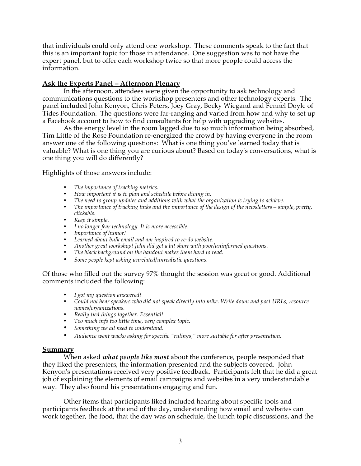that individuals could only attend one workshop. These comments speak to the fact that this is an important topic for those in attendance. One suggestion was to not have the expert panel, but to offer each workshop twice so that more people could access the information.

## **Ask the Experts Panel – Afternoon Plenary**

In the afternoon, attendees were given the opportunity to ask technology and communications questions to the workshop presenters and other technology experts. The panel included John Kenyon, Chris Peters, Joey Gray, Becky Wiegand and Fennel Doyle of Tides Foundation. The questions were far-ranging and varied from how and why to set up a Facebook account to how to find consultants for help with upgrading websites.

As the energy level in the room lagged due to so much information being absorbed, Tim Little of the Rose Foundation re-energized the crowd by having everyone in the room answer one of the following questions: What is one thing you've learned today that is valuable? What is one thing you are curious about? Based on today's conversations, what is one thing you will do differently?

Highlights of those answers include:

- *The importance of tracking metrics.*
- *How important it is to plan and schedule before diving in.*
- *The need to group updates and additions with what the organization is trying to achieve.*
- *The importance of tracking links and the importance of the design of the newsletters simple, pretty, clickable.*
- *Keep it simple.*
- *I no longer fear technology. It is more accessible.*
- *Importance of humor!*
- *Learned about bulk email and am inspired to re-do website.*
- *Another great workshop! John did get a bit short with poor/uninformed questions.*
- *The black background on the handout makes them hard to read.*
- *Some people kept asking unrelated/unrealistic questions.*

Of those who filled out the survey 97% thought the session was great or good. Additional comments included the following:

- *I got my question answered!*
- *Could not hear speakers who did not speak directly into mike. Write down and post URLs, resource names/organizations.*
- *Really tied things together. Essential!*
- *Too much info too little time, very complex topic.*
- *Something we all need to understand.*
- *Audience went wacko asking for specific "rulings," more suitable for after presentation.*

#### **Summary**

When asked *what people like most* about the conference, people responded that they liked the presenters, the information presented and the subjects covered. John Kenyon's presentations received very positive feedback. Participants felt that he did a great job of explaining the elements of email campaigns and websites in a very understandable way. They also found his presentations engaging and fun.

Other items that participants liked included hearing about specific tools and participants feedback at the end of the day, understanding how email and websites can work together, the food, that the day was on schedule, the lunch topic discussions, and the